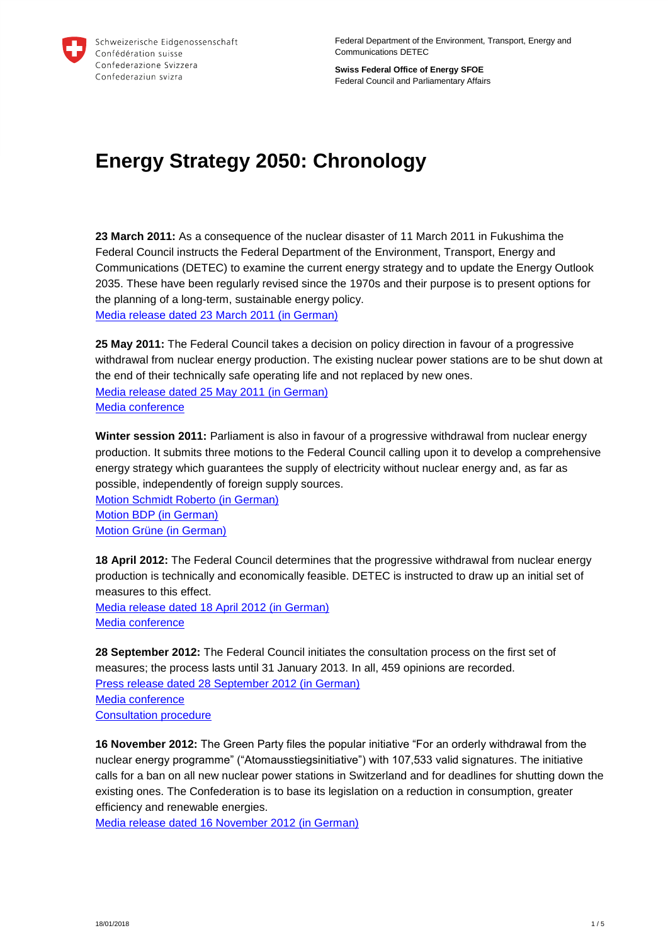

Federal Department of the Environment, Transport, Energy and Communications DETEC

**Swiss Federal Office of Energy SFOE** Federal Council and Parliamentary Affairs

## **Energy Strategy 2050: Chronology**

**23 March 2011:** As a consequence of the nuclear disaster of 11 March 2011 in Fukushima the Federal Council instructs the Federal Department of the Environment, Transport, Energy and Communications (DETEC) to examine the current energy strategy and to update the Energy Outlook 2035. These have been regularly revised since the 1970s and their purpose is to present options for the planning of a long-term, sustainable energy policy. [Media release dated 23 March 2011](https://www.uvek.admin.ch/uvek/de/home/uvek/medien/medienmitteilungen.msg-id-38236.html) (in German)

**25 May 2011:** The Federal Council takes a decision on policy direction in favour of a progressive withdrawal from nuclear energy production. The existing nuclear power stations are to be shut down at the end of their technically safe operating life and not replaced by new ones. [Media release dated 25 May](https://www.uvek.admin.ch/uvek/de/home/uvek/medien/medienmitteilungen.msg-id-39337.html) 2011 (in German) [Media conference](https://www.admin.ch/gov/de/start/dokumentation/medienkonferenzen/2011/5/25_05_2011_373.html)

**Winter session 2011:** Parliament is also in favour of a progressive withdrawal from nuclear energy production. It submits three motions to the Federal Council calling upon it to develop a comprehensive energy strategy which guarantees the supply of electricity without nuclear energy and, as far as possible, independently of foreign supply sources.

[Motion Schmidt Roberto](https://www.parlament.ch/de/ratsbetrieb/suche-curia-vista/geschaeft?AffairId=20113436) (in German) Motion [BDP \(in German\)](https://www.parlament.ch/de/ratsbetrieb/suche-curia-vista/geschaeft?AffairId=20113426) Motion Grüne [\(in German\)](https://www.parlament.ch/de/ratsbetrieb/suche-curia-vista/geschaeft?AffairId=20113257)

**18 April 2012:** The Federal Council determines that the progressive withdrawal from nuclear energy production is technically and economically feasible. DETEC is instructed to draw up an initial set of measures to this effect.

Media [release dated 18 April 2012](https://www.news.admin.ch/message/index.html?lang=de&msg-id=44187) (in German) [Media conference](https://www.admin.ch/gov/de/start/dokumentation/medienkonferenzen/2012/4/18_04_2012_471.html)

**28 September 2012:** The Federal Council initiates the consultation process on the first set of measures; the process lasts until 31 January 2013. In all, 459 opinions are recorded. [Press release dated 28](https://www.uvek.admin.ch/uvek/de/home/uvek/medien/medienmitteilungen.msg-id-46133.html) September 2012 (in German) [Media conference](https://www.admin.ch/gov/de/start/dokumentation/medienkonferenzen/2012/9/28_09_2012_506.html) [Consultation procedure](http://www.bfe.admin.ch/themen/00526/00527/05966/index.html?lang=en)

**16 November 2012:** The Green Party files the popular initiative "For an orderly withdrawal from the nuclear energy programme" ("Atomausstiegsinitiative") with 107,533 valid signatures. The initiative calls for a ban on all new nuclear power stations in Switzerland and for deadlines for shutting down the existing ones. The Confederation is to base its legislation on a reduction in consumption, greater efficiency and renewable energies.

Media [release dated 16](http://www.gruene.ch/gruene/de/positionen/umwelt/energie_klima/atom/medienmitteilungen/einreichung_AIA.html) November 2012 (in German)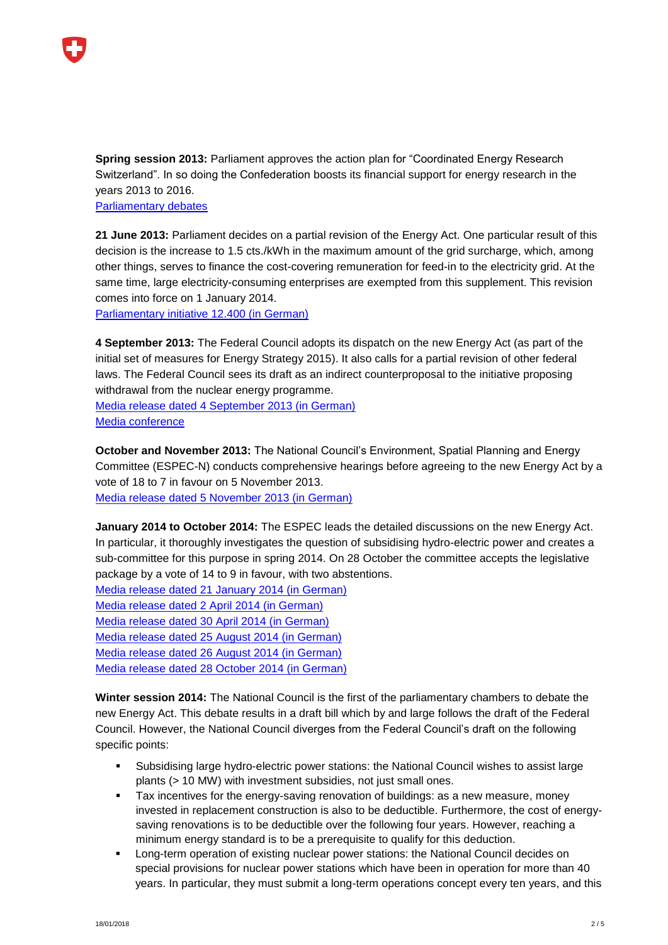

**Spring session 2013:** Parliament approves the action plan for "Coordinated Energy Research Switzerland". In so doing the Confederation boosts its financial support for energy research in the years 2013 to 2016.

[Parliamentary debates](https://www.parlament.ch/de/ratsbetrieb/suche-curia-vista/geschaeft?AffairId=20120079)

**21 June 2013:** Parliament decides on a partial revision of the Energy Act. One particular result of this decision is the increase to 1.5 cts./kWh in the maximum amount of the grid surcharge, which, among other things, serves to finance the cost-covering remuneration for feed-in to the electricity grid. At the same time, large electricity-consuming enterprises are exempted from this supplement. This revision comes into force on 1 January 2014.

[Parliamentary initiative 12.400](https://www.parlament.ch/de/ratsbetrieb/suche-curia-vista/geschaeft?AffairId=20120400) (in German)

**4 September 2013:** The Federal Council adopts its dispatch on the new Energy Act (as part of the initial set of measures for Energy Strategy 2015). It also calls for a partial revision of other federal laws. The Federal Council sees its draft as an indirect counterproposal to the initiative proposing withdrawal from the nuclear energy programme.

Media release dated 4 [September 2013](https://www.uvek.admin.ch/uvek/de/home/uvek/medien/medienmitteilungen.msg-id-50123.html) (in German) [Media conference](https://www.admin.ch/gov/de/start/dokumentation/medienkonferenzen/2013/9/04_09_2013_884.html)

**October and November 2013:** The National Council's Environment, Spatial Planning and Energy Committee (ESPEC-N) conducts comprehensive hearings before agreeing to the new Energy Act by a vote of 18 to 7 in favour on 5 November 2013. [Media release dated 5](https://www.parlament.ch/press-releases/Pages/2013/mm-urek-n-2013-11-05.aspx?lang=1031) November 2013 (in German)

**January 2014 to October 2014:** The ESPEC leads the detailed discussions on the new Energy Act. In particular, it thoroughly investigates the question of subsidising hydro-electric power and creates a sub-committee for this purpose in spring 2014. On 28 October the committee accepts the legislative package by a vote of 14 to 9 in favour, with two abstentions.

[Media release dated 21](https://www.parlament.ch/press-releases/Pages/2014/mm-urek-n-2014-01-21.aspx) January 2014 (in German) [Media release dated](https://www.parlament.ch/press-releases/Pages/2014/mm-urek-n-2014-04-02.aspx) 2 April 2014 (in German) [Media release dated](https://www.parlament.ch/press-releases/Pages/2014/mm-urek-n-2014-04-30.aspx) 30 April 2014 (in German) [Media release dated 25](https://www.parlament.ch/press-releases/Pages/2014/mm-urek-n-2014-08-25.aspx) August 2014 (in German) [Media release dated 26](https://www.parlament.ch/press-releases/Pages/2014/mm-urek-n-2014-08-26.aspx) August 2014 (in German) [Media release dated](https://www.parlament.ch/press-releases/Pages/2014/mm-urek-n-2014-10-28.aspx) 28 October 2014 (in German)

**Winter session 2014:** The National Council is the first of the parliamentary chambers to debate the new Energy Act. This debate results in a draft bill which by and large follows the draft of the Federal Council. However, the National Council diverges from the Federal Council's draft on the following specific points:

- Subsidising large hydro-electric power stations: the National Council wishes to assist large plants (> 10 MW) with investment subsidies, not just small ones.
- Tax incentives for the energy-saving renovation of buildings: as a new measure, money invested in replacement construction is also to be deductible. Furthermore, the cost of energysaving renovations is to be deductible over the following four years. However, reaching a minimum energy standard is to be a prerequisite to qualify for this deduction.
- **EXECT** Long-term operation of existing nuclear power stations: the National Council decides on special provisions for nuclear power stations which have been in operation for more than 40 years. In particular, they must submit a long-term operations concept every ten years, and this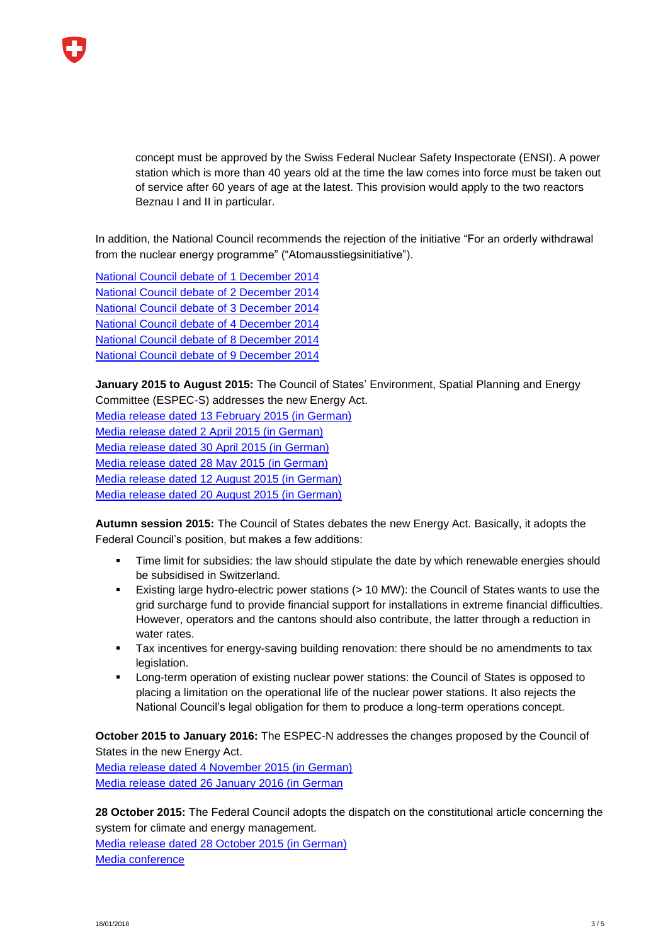concept must be approved by the Swiss Federal Nuclear Safety Inspectorate (ENSI). A power station which is more than 40 years old at the time the law comes into force must be taken out of service after 60 years of age at the latest. This provision would apply to the two reactors Beznau I and II in particular.

In addition, the National Council recommends the rejection of the initiative "For an orderly withdrawal from the nuclear energy programme" ("Atomausstiegsinitiative").

[National Council debate of](https://www.parlament.ch/de/ratsbetrieb/amtliches-bulletin/amtliches-bulletin-die-verhandlungen?SubjectId=32176) 1 December 2014 [National Council debate of](https://www.parlament.ch/de/ratsbetrieb/amtliches-bulletin/amtliches-bulletin-die-verhandlungen?SubjectId=32237) 2 December 2014 [National Council debate of](https://www.parlament.ch/de/ratsbetrieb/amtliches-bulletin/amtliches-bulletin-die-verhandlungen?SubjectId=32139) 3 December 2014 [National Council debate of](https://www.parlament.ch/de/ratsbetrieb/amtliches-bulletin/amtliches-bulletin-die-verhandlungen?SubjectId=32138) 4 December 2014 [National Council debate of](https://www.parlament.ch/de/ratsbetrieb/amtliches-bulletin/amtliches-bulletin-die-verhandlungen?SubjectId=32100) 8 December 2014 [National Council debate of](https://www.parlament.ch/de/ratsbetrieb/amtliches-bulletin/amtliches-bulletin-die-verhandlungen?SubjectId=32140) 9 December 2014

**January 2015 to August 2015:** The Council of States' Environment, Spatial Planning and Energy Committee (ESPEC-S) addresses the new Energy Act.

[Media release dated 13](https://www.parlament.ch/press-releases/Pages/2015/mm-urek-s-2015-02-13.aspx) February 2015 (in German) [Media release dated](https://www.parlament.ch/press-releases/Pages/2015/mm-urek-s-2015-04-02.aspx) 2 April 2015 (in German) [Media release dated 30](https://www.parlament.ch/press-releases/Pages/2015/urek-s-2015-04-30.aspx) April 2015 (in German) [Media release dated 28](https://www.parlament.ch/press-releases/Pages/2015/mm-urek-s-2015-05-28.aspx) May 2015 (in German) [Media release dated 12](https://www.parlament.ch/press-releases/Pages/2015/mm-urek-s-2015-08-12.aspx) August 2015 (in German) [Media release dated](https://www.parlament.ch/press-releases/Pages/2015/mm-urek-s-2015-08-20.aspx) 20 August 2015 (in German)

**Autumn session 2015:** The Council of States debates the new Energy Act. Basically, it adopts the Federal Council's position, but makes a few additions:

- Time limit for subsidies: the law should stipulate the date by which renewable energies should be subsidised in Switzerland.
- Existing large hydro-electric power stations (> 10 MW): the Council of States wants to use the grid surcharge fund to provide financial support for installations in extreme financial difficulties. However, operators and the cantons should also contribute, the latter through a reduction in water rates.
- **Tax incentives for energy-saving building renovation: there should be no amendments to tax** legislation.
- Long-term operation of existing nuclear power stations: the Council of States is opposed to placing a limitation on the operational life of the nuclear power stations. It also rejects the National Council's legal obligation for them to produce a long-term operations concept.

**October 2015 to January 2016:** The ESPEC-N addresses the changes proposed by the Council of States in the new Energy Act.

[Media release dated 4](https://www.parlament.ch/press-releases/Pages/2015/mm-urek-n-2015-11-04.aspx) November 2015 (in German) [Media release dated 26](https://www.parlament.ch/press-releases/Pages/2016/mm-urek-n-2016-01-26.aspx) January 2016 (in German

**28 October 2015:** The Federal Council adopts the dispatch on the constitutional article concerning the system for climate and energy management. [Media release dated 28](https://www.admin.ch/gov/de/start/dokumentation/medienmitteilungen.msg-id-59257.html) October 2015 (in German)

[Media conference](https://www.admin.ch/gov/de/start/dokumentation/medienkonferenzen/2015/10/28_10_2015_1097.html)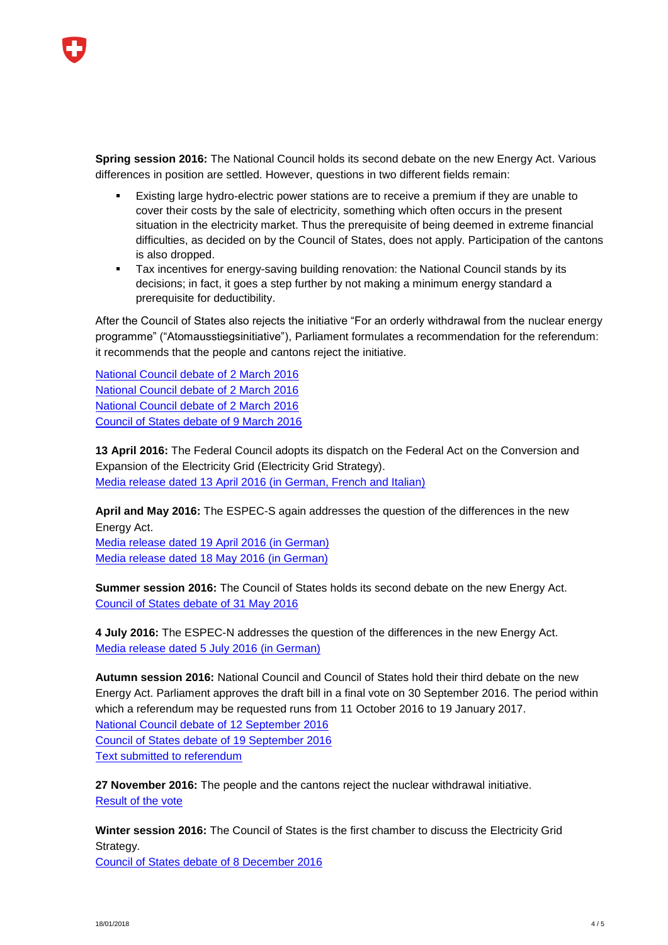**Spring session 2016:** The National Council holds its second debate on the new Energy Act. Various differences in position are settled. However, questions in two different fields remain:

- Existing large hydro-electric power stations are to receive a premium if they are unable to cover their costs by the sale of electricity, something which often occurs in the present situation in the electricity market. Thus the prerequisite of being deemed in extreme financial difficulties, as decided on by the Council of States, does not apply. Participation of the cantons is also dropped.
- Tax incentives for energy-saving building renovation: the National Council stands by its decisions; in fact, it goes a step further by not making a minimum energy standard a prerequisite for deductibility.

After the Council of States also rejects the initiative "For an orderly withdrawal from the nuclear energy programme" ("Atomausstiegsinitiative"), Parliament formulates a recommendation for the referendum: it recommends that the people and cantons reject the initiative.

[National Council debate of 2 March 2016](https://www.parlament.ch/de/ratsbetrieb/amtliches-bulletin/amtliches-bulletin-die-verhandlungen?SubjectId=36627) [National Council debate of 2 March 2016](https://www.parlament.ch/de/ratsbetrieb/amtliches-bulletin/amtliches-bulletin-die-verhandlungen?SubjectId=32138) [National Council debate of 2 March 2016](https://www.parlament.ch/de/ratsbetrieb/amtliches-bulletin/amtliches-bulletin-die-verhandlungen?SubjectId=36642) [Council of States debate of 9 March 2016](https://www.parlament.ch/de/ratsbetrieb/amtliches-bulletin/amtliches-bulletin-die-verhandlungen?SubjectId=36789)

**13 April 2016:** The Federal Council adopts its dispatch on the Federal Act on the Conversion and Expansion of the Electricity Grid (Electricity Grid Strategy). [Media release dated 13 April 2016](http://www.bfe.admin.ch/energie/00588/00589/00644/index.html?lang=de&msg-id=61338) (in German, French and Italian)

**April and May 2016:** The ESPEC-S again addresses the question of the differences in the new Energy Act.

[Media release dated](https://www.parlament.ch/press-releases/Pages/mm-urek-s-2016-04-19.aspx) 19 April 2016 (in German) [Media release dated](https://www.parlament.ch/press-releases/Pages/mm-urek-s-2016-05-18.aspx?lang=1031) 18 May 2016 (in German)

**Summer session 2016:** The Council of States holds its second debate on the new Energy Act. [Council of States debate of 31](https://www.parlament.ch/de/ratsbetrieb/amtliches-bulletin/amtliches-bulletin-die-verhandlungen?SubjectId=37240) May 2016

**4 July 2016:** The ESPEC-N addresses the question of the differences in the new Energy Act. [Media release dated 5 July 2016](https://www.parlament.ch/press-releases/Pages/mm-urek-n-2016-07-05.aspx?lang=1031) (in German)

**Autumn session 2016:** National Council and Council of States hold their third debate on the new Energy Act. Parliament approves the draft bill in a final vote on 30 September 2016. The period within which a referendum may be requested runs from 11 October 2016 to 19 January 2017. [National Council debate of 12 September 2016](https://www.parlament.ch/de/ratsbetrieb/amtliches-bulletin/amtliches-bulletin-die-verhandlungen?SubjectId=37858) [Council of States debate of 19 September 2016](https://www.parlament.ch/de/ratsbetrieb/amtliches-bulletin/amtliches-bulletin-die-verhandlungen?SubjectId=38004) Text submitted to referendum

**27 November 2016:** The people and the cantons reject the nuclear withdrawal initiative. [Result of the vote](https://www.admin.ch/ch/d/pore/va/20161127/det608.html)

**Winter session 2016:** The Council of States is the first chamber to discuss the Electricity Grid Strategy. [Council of States debate of 8 December 2016](https://www.parlament.ch/de/ratsbetrieb/amtliches-bulletin/amtliches-bulletin-die-verhandlungen?SubjectId=38817)